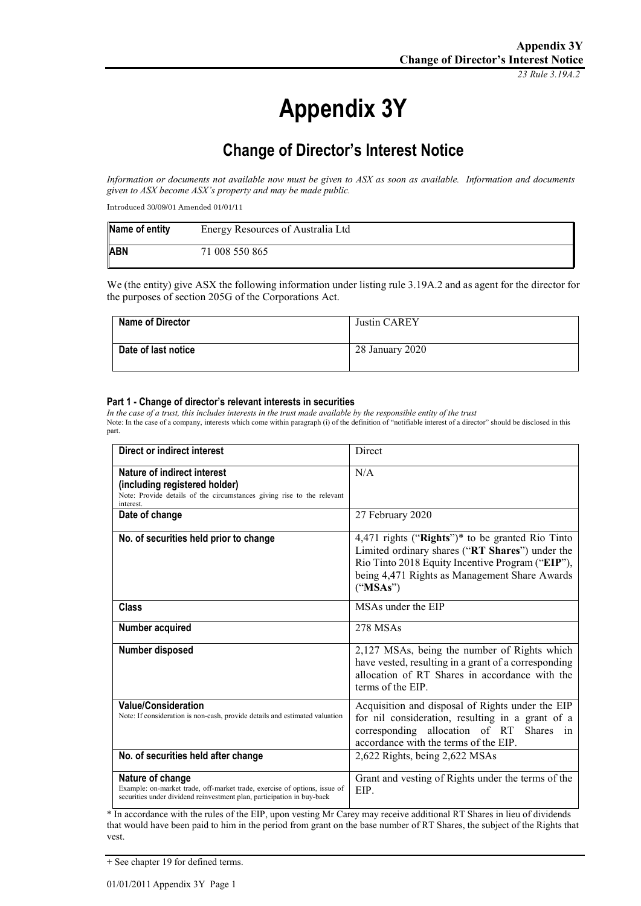*23 Rule 3.19A.2*

# **Appendix 3Y**

## **Change of Director's Interest Notice**

*Information or documents not available now must be given to ASX as soon as available. Information and documents given to ASX become ASX's property and may be made public.*

Introduced 30/09/01 Amended 01/01/11

| Name of entity | Energy Resources of Australia Ltd |
|----------------|-----------------------------------|
| <b>ABN</b>     | 71 008 550 865                    |

We (the entity) give ASX the following information under listing rule 3.19A.2 and as agent for the director for the purposes of section 205G of the Corporations Act.

| Name of Director    | Justin CAREY    |
|---------------------|-----------------|
| Date of last notice | 28 January 2020 |

#### **Part 1 - Change of director's relevant interests in securities**

*In the case of a trust, this includes interests in the trust made available by the responsible entity of the trust* Note: In the case of a company, interests which come within paragraph (i) of the definition of "notifiable interest of a director" should be disclosed in this part.

| Direct or indirect interest                                                                                                                                             | Direct                                                                                                                                                                                                               |
|-------------------------------------------------------------------------------------------------------------------------------------------------------------------------|----------------------------------------------------------------------------------------------------------------------------------------------------------------------------------------------------------------------|
| Nature of indirect interest<br>(including registered holder)<br>Note: Provide details of the circumstances giving rise to the relevant<br>interest.                     | N/A                                                                                                                                                                                                                  |
| Date of change                                                                                                                                                          | 27 February 2020                                                                                                                                                                                                     |
| No. of securities held prior to change                                                                                                                                  | 4,471 rights ("Rights")* to be granted Rio Tinto<br>Limited ordinary shares ("RT Shares") under the<br>Rio Tinto 2018 Equity Incentive Program ("EIP"),<br>being 4,471 Rights as Management Share Awards<br>("MSAs") |
| <b>Class</b>                                                                                                                                                            | MSAs under the EIP                                                                                                                                                                                                   |
| Number acquired                                                                                                                                                         | 278 MSAs                                                                                                                                                                                                             |
| Number disposed                                                                                                                                                         | 2,127 MSAs, being the number of Rights which<br>have vested, resulting in a grant of a corresponding<br>allocation of RT Shares in accordance with the<br>terms of the EIP.                                          |
| <b>Value/Consideration</b><br>Note: If consideration is non-cash, provide details and estimated valuation                                                               | Acquisition and disposal of Rights under the EIP<br>for nil consideration, resulting in a grant of a<br>corresponding allocation of RT Shares in<br>accordance with the terms of the EIP.                            |
| No. of securities held after change                                                                                                                                     | 2,622 Rights, being 2,622 MSAs                                                                                                                                                                                       |
| Nature of change<br>Example: on-market trade, off-market trade, exercise of options, issue of<br>securities under dividend reinvestment plan, participation in buy-back | Grant and vesting of Rights under the terms of the<br>EIP.                                                                                                                                                           |

\* In accordance with the rules of the EIP, upon vesting Mr Carey may receive additional RT Shares in lieu of dividends that would have been paid to him in the period from grant on the base number of RT Shares, the subject of the Rights that vest.

<sup>+</sup> See chapter 19 for defined terms.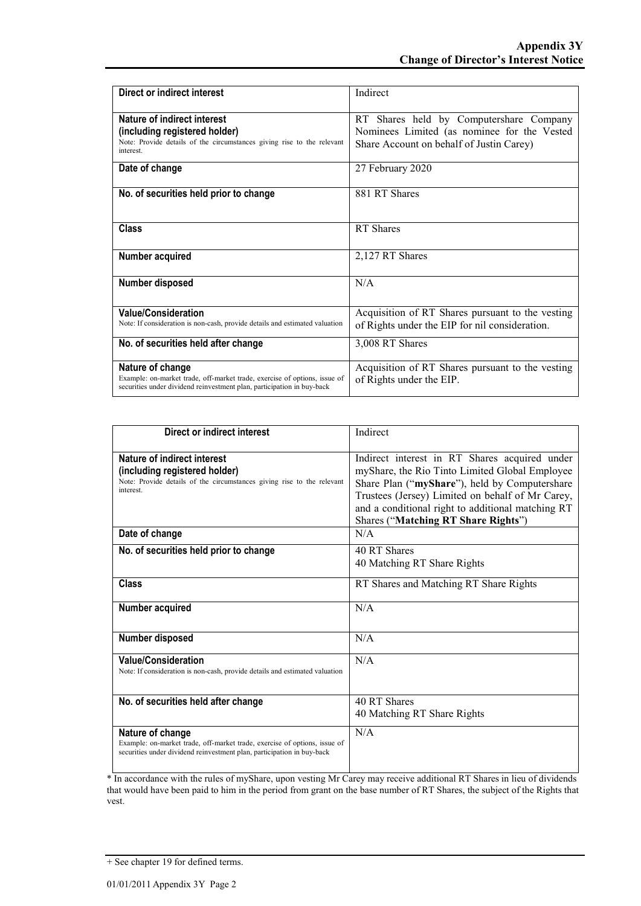| Direct or indirect interest                                                                                                                                             | Indirect                                                                                                                           |
|-------------------------------------------------------------------------------------------------------------------------------------------------------------------------|------------------------------------------------------------------------------------------------------------------------------------|
| Nature of indirect interest<br>(including registered holder)<br>Note: Provide details of the circumstances giving rise to the relevant<br>interest.                     | RT Shares held by Computershare Company<br>Nominees Limited (as nominee for the Vested<br>Share Account on behalf of Justin Carey) |
| Date of change                                                                                                                                                          | 27 February 2020                                                                                                                   |
| No. of securities held prior to change                                                                                                                                  | 881 RT Shares                                                                                                                      |
| Class                                                                                                                                                                   | RT Shares                                                                                                                          |
| Number acquired                                                                                                                                                         | 2,127 RT Shares                                                                                                                    |
| Number disposed                                                                                                                                                         | N/A                                                                                                                                |
| <b>Value/Consideration</b><br>Note: If consideration is non-cash, provide details and estimated valuation                                                               | Acquisition of RT Shares pursuant to the vesting<br>of Rights under the EIP for nil consideration.                                 |
| No. of securities held after change                                                                                                                                     | 3,008 RT Shares                                                                                                                    |
| Nature of change<br>Example: on-market trade, off-market trade, exercise of options, issue of<br>securities under dividend reinvestment plan, participation in buy-back | Acquisition of RT Shares pursuant to the vesting<br>of Rights under the EIP.                                                       |

| Direct or indirect interest                                                                                                                                             | Indirect                                                                                                                                                                                                                                                                                         |
|-------------------------------------------------------------------------------------------------------------------------------------------------------------------------|--------------------------------------------------------------------------------------------------------------------------------------------------------------------------------------------------------------------------------------------------------------------------------------------------|
| Nature of indirect interest<br>(including registered holder)<br>Note: Provide details of the circumstances giving rise to the relevant<br>interest.                     | Indirect interest in RT Shares acquired under<br>myShare, the Rio Tinto Limited Global Employee<br>Share Plan ("myShare"), held by Computershare<br>Trustees (Jersey) Limited on behalf of Mr Carey,<br>and a conditional right to additional matching RT<br>Shares ("Matching RT Share Rights") |
| Date of change                                                                                                                                                          | N/A                                                                                                                                                                                                                                                                                              |
| No. of securities held prior to change                                                                                                                                  | 40 RT Shares<br>40 Matching RT Share Rights                                                                                                                                                                                                                                                      |
| Class                                                                                                                                                                   | RT Shares and Matching RT Share Rights                                                                                                                                                                                                                                                           |
| Number acquired                                                                                                                                                         | N/A                                                                                                                                                                                                                                                                                              |
| Number disposed                                                                                                                                                         | N/A                                                                                                                                                                                                                                                                                              |
| <b>Value/Consideration</b><br>Note: If consideration is non-cash, provide details and estimated valuation                                                               | N/A                                                                                                                                                                                                                                                                                              |
| No. of securities held after change                                                                                                                                     | 40 RT Shares<br>40 Matching RT Share Rights                                                                                                                                                                                                                                                      |
| Nature of change<br>Example: on-market trade, off-market trade, exercise of options, issue of<br>securities under dividend reinvestment plan, participation in buy-back | N/A                                                                                                                                                                                                                                                                                              |

\* In accordance with the rules of myShare, upon vesting Mr Carey may receive additional RT Shares in lieu of dividends that would have been paid to him in the period from grant on the base number of RT Shares, the subject of the Rights that vest.

<sup>+</sup> See chapter 19 for defined terms.